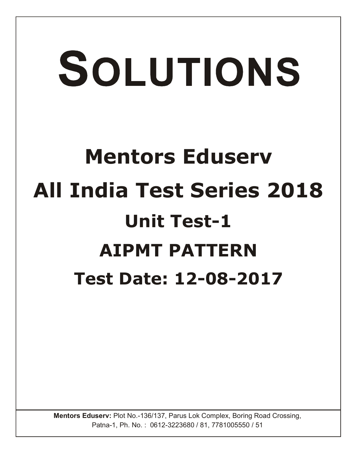# SOLUTIONS **Mentors Eduserv All India Test Series 2018 Unit Test-1 AIPMT PATTERN Test Date: 12-08-2017**

Mentors Eduserv: Plot No.-136/137, Parus Lok Complex, Boring Road Crossing, Patna-1, Ph. No. : 0612-3223680 / 81, 7781005550 / 51

**Mentors Eduserv: Plot No.-136/137, Parus Lok Complex, Boring Road Crossing,**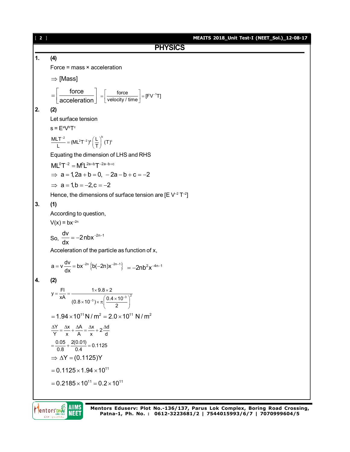|                | $[2]$<br>MEAITS 2018_Unit Test-I (NEET_Sol.)_12-08-17                                                                                 |
|----------------|---------------------------------------------------------------------------------------------------------------------------------------|
|                | <b>PHYSICS</b>                                                                                                                        |
| $\mathbf{1}$ . | (4)                                                                                                                                   |
|                | Force = $mass \times acceleration$                                                                                                    |
|                | $\Rightarrow$ [Mass]                                                                                                                  |
|                | $=\left[\frac{\text{force}}{\text{acceleration}}\right] = \left[\frac{\text{force}}{\text{velocity}/\text{time}}\right] = [FV^{-1}T]$ |
| 2.             | (2)                                                                                                                                   |
|                | Let surface tension                                                                                                                   |
|                | $s = E^a V^b T^c$                                                                                                                     |
|                | $\frac{MLT^{-2}}{L} = (ML^{2}T^{-2})^{a} \left(\frac{L}{T}\right)^{b} (T)^{c}$                                                        |
|                | Equating the dimension of LHS and RHS                                                                                                 |
|                | $ML^{0}T^{-2} = M^{0}L^{2a+b}T^{-2a-b+c}$                                                                                             |
|                | $\Rightarrow$ a = 1, 2a + b = 0, - 2a - b + c = -2                                                                                    |
|                | $\Rightarrow$ a = 1, b = -2, c = -2                                                                                                   |
|                | Hence, the dimensions of surface tension are [E $V^{-2}$ T <sup>-2</sup> ]                                                            |
| 3.             | (1)                                                                                                                                   |
|                | According to question,                                                                                                                |
|                | $V(x) = bx^{-2n}$                                                                                                                     |
|                | So, $\frac{dv}{dx} = -2nbx^{-2n-1}$                                                                                                   |
|                | Acceleration of the particle as function of x,                                                                                        |
|                | $a = v \frac{dv}{dx} = bx^{-2n} \left\{ b(-2n)x^{-2n-1} \right\}$ = -2nb <sup>2</sup> x <sup>-4n-1</sup>                              |
| 4.             | (2)                                                                                                                                   |
|                | $y = {F1 \over xA} = {1 \times 9.8 \times 2 \over (0.8 \times 10^{-3}) \times \pi \left( {0.4 \times 10^{-3}} \over 2 \right)^2}$     |
|                | $= 1.94 \times 10^{11}$ N / m <sup>2</sup> = 2.0 × 10 <sup>11</sup> N / m <sup>2</sup>                                                |
|                | $\frac{\Delta Y}{Y} = \frac{\Delta x}{x} + \frac{\Delta A}{A} = \frac{\Delta x}{x} + 2\frac{\Delta d}{d}$                             |
|                | $=\frac{0.05}{0.8}+\frac{2(0.01)}{0.4}=0.1125$                                                                                        |
|                | $\Rightarrow \Delta Y = (0.1125)Y$                                                                                                    |
|                | $= 0.1125 \times 1.94 \times 10^{11}$                                                                                                 |
|                | $= 0.2185 \times 10^{11} = 0.2 \times 10^{11}$                                                                                        |
|                |                                                                                                                                       |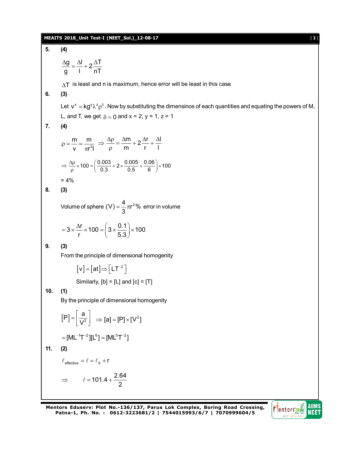#### **MEAITS 2018\_Unit Test-I (NEET\_Sol.)\_12-08-17** [ **3** ]

 $\frac{g}{f} = \frac{\Delta I}{I} + 2\frac{\Delta T}{T}$ g l nT  $\frac{\Delta g}{\Delta t} = \frac{\Delta l}{l} + 2 \frac{\Delta T}{\Delta t}$ 

2

 $\pi$ 

m m v  $\pi$ r<sup>2</sup>l

 $\rho = \frac{...}{...} = -$ 

 $= 4\%$ 

**5. (4)**

**6. (3)**

**7. (4)**

**8. (3)**

 $\Delta T$  is least and n is maximum, hence error will be least in this case Let  $v^x = kg^y \lambda^z \rho^{\delta}$ . Now by substituting the dimensinos of each quantities and equating the powers of M, L, and T, we get  $\delta = 0$  and  $x = 2$ ,  $y = 1$ ,  $z = 1$  $\frac{m}{2} + 2\frac{\Delta r}{r} + \frac{\Delta l}{r}$ m r l  $\Rightarrow \frac{\Delta \rho}{\rho} = \frac{\Delta m}{\rho} + 2 \frac{\Delta r}{\rho} + \frac{\Delta l}{\rho}$ ρ  $\Rightarrow \frac{\Delta p}{\rho} \times 100 = \left(\frac{0.003}{0.3} + 2 \times \frac{0.005}{0.5} + \frac{0.06}{6}\right) \times 100$ Volume of sphere  $(V) = \frac{4}{2} \pi r^2$ % 3  $=\frac{1}{6}\pi r^2\%$  error in volume  $3 \times \frac{\Delta r}{r} \times 100 = \left(3 \times \frac{0.1}{5.2}\right) \times 100$ r 5.3  $=3\times\frac{\Delta r}{r}\times 100 = \left(3\times\frac{0.1}{5.3}\right)\times 1$ From the principle of dimensional homogenity  $[v] = [at] \Rightarrow \lfloor LT^{-2} \rfloor$ 

Similarly,  $[b] = [L]$  and  $[c] = [T]$ 

**10. (1)**

**9. (3)**

By the principle of dimensional homogenity

$$
[P] = \left[\frac{a}{V^2}\right] \implies [a] = [P] \times [V^2]
$$

$$
= [ML^{-1}T^{-2}][L^6] = [ML^5T^{-2}]
$$
  
**11.** (2)  

$$
\ell_{\text{effective}} = \ell = \ell_0 + r
$$

$$
\implies \ell = 101.4 + \frac{2.64}{2}
$$

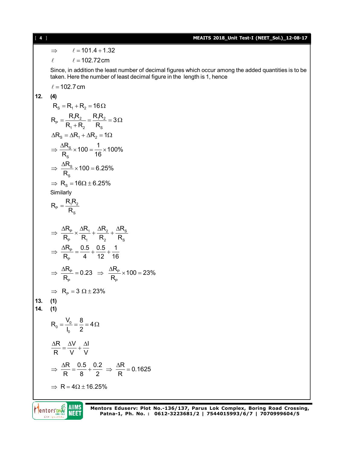$\Rightarrow$   $\ell = 101.4 + 1.32$ 

 $\ell = 102.72 \text{cm}$ 

Since, in addition the least number of decimal figures which occur among the added quantities is to be taken. Here the number of least decimal figure in the length is 1, hence

 $\ell = 102.7$  cm

**12. (4)**

$$
R_s = R_1 + R_2 = 16\Omega
$$
\n
$$
R_p = \frac{R_1 R_2}{R_1 + R_2} = \frac{R_1 R_2}{R_s} = 3\Omega
$$
\n
$$
\Delta R_s = \Delta R_1 + \Delta R_2 = 1\Omega
$$
\n
$$
\Rightarrow \frac{\Delta R_s}{R_s} \times 100 = \frac{1}{16} \times 100\%
$$
\n
$$
\Rightarrow \frac{\Delta R_s}{R_s} \times 100 = 6.25\%
$$
\n
$$
\Rightarrow R_s = 16\Omega \pm 6.25\%
$$
\nSimilarly\n
$$
R_p = \frac{R_1 R_2}{R_s}
$$
\n
$$
\Rightarrow \frac{\Delta R_p}{R_p} \times \frac{\Delta R_1}{R_1} + \frac{\Delta R_2}{R_2} + \frac{\Delta R_s}{R_s}
$$
\n
$$
\Rightarrow \frac{\Delta R_p}{R_p} = \frac{0.5}{4} + \frac{0.5}{12} + \frac{1}{16}
$$
\n
$$
\Rightarrow \frac{\Delta R_p}{R_p} = 0.23 \Rightarrow \frac{\Delta R_p}{R_p} \times 100 = 23\%
$$
\n
$$
\Rightarrow R_p = 3 \Omega \pm 23\%
$$
\n13. (1)\n14. (1)\n14. (1)\n14. (1)\n15. (1)\n16. (2)\n
$$
\frac{\Delta R}{R} = \frac{\Delta V}{V} + \frac{\Delta I}{V}
$$
\n
$$
\Rightarrow \frac{\Delta R}{R} = \frac{0.5}{V} + \frac{0.2}{V} \Rightarrow \frac{\Delta R}{R} = 0.1625
$$
\n
$$
\Rightarrow R = 4\Omega \pm 16.25\%
$$

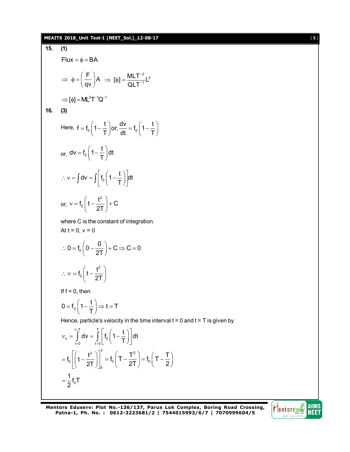### **MEAITS 2018\_Unit Test-I (NEET\_Sol.)\_12-08-17** [ **5** ]

15. (1)  
\nFlux = 
$$
\phi = BA
$$
  
\n $\Rightarrow \phi = \left(\frac{F}{qv}\right)A \Rightarrow [\phi] = \frac{MLT^{-2}L^2}{QLT^{-1}L^2}$   
\n $\Rightarrow [\phi] = ML^2T^{-1}Q^{-1}$   
\n16. (3)  
\nHere,  $f = f_0\left(1 - \frac{t}{T}\right)or, \frac{dv}{dt} = f_0\left(1 - \frac{t}{T}\right)$   
\nor,  $dv = f_0\left(1 - \frac{t}{T}\right)dt$   
\n $\therefore v = \int dv = \int \left[f_0\left(1 - \frac{t}{T}\right)\right]dt$   
\nor,  $v = f_0\left(t - \frac{t^2}{2T}\right) + C$   
\nwhere C is the constant of integration.  
\nAt t = 0, v = 0  
\n $\therefore 0 = f_0\left(0 - \frac{0}{2T}\right) + C \Rightarrow C = 0$   
\n $\therefore v = f_0\left(t - \frac{t^2}{2T}\right)$   
\nIf f = 0, then  
\n $0 = f_0\left(1 - \frac{t}{T}\right) \Rightarrow t = T$   
\nHence, particle's velocity in the time interval t = 0 and t = T is given by  
\n $v_x = \int_{t=0}^{t=T} dv = \int_{t=0}^{T} \left[f_0\left(1 - \frac{t}{T}\right)\right]dt$   
\n $= f_0\left[\left(t - \frac{t^2}{2T}\right)\right]_0^T = f_0\left(T - \frac{T^2}{2T}\right) = f_0\left(T - \frac{T}{2}\right)$   
\n $= \frac{1}{2}f_0T$ 

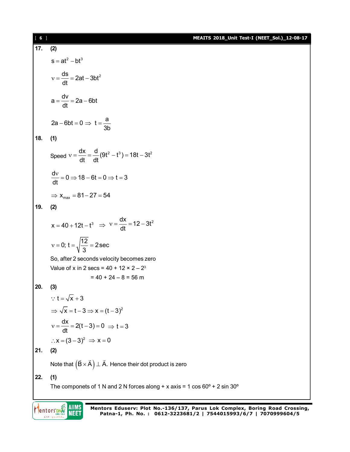| [6] |                                                                                      | MEAITS 2018_Unit Test-I (NEET_Sol.)_12-08-17 |
|-----|--------------------------------------------------------------------------------------|----------------------------------------------|
| 17. | (2)                                                                                  |                                              |
|     | $s = at^2 - bt^3$                                                                    |                                              |
|     | $v = \frac{ds}{dt} = 2at - 3bt^2$                                                    |                                              |
|     | $a = \frac{dv}{dt} = 2a - 6bt$                                                       |                                              |
|     | $2a - 6bt = 0 \Rightarrow t = \frac{a}{3b}$                                          |                                              |
| 18. | (1)                                                                                  |                                              |
|     | Speed $v = \frac{dx}{dt} = \frac{d}{dt}(9t^2 - t^3) = 18t - 3t^2$                    |                                              |
|     | $\frac{dv}{dt} = 0 \Rightarrow 18 - 6t = 0 \Rightarrow t = 3$                        |                                              |
|     | $\Rightarrow$ $x_{max} = 81 - 27 = 54$                                               |                                              |
| 19. | (2)                                                                                  |                                              |
|     | $x = 40 + 12t - t^3 \implies v = \frac{dx}{dt} = 12 - 3t^2$                          |                                              |
|     | $v = 0$ ; $t = \sqrt{\frac{12}{3}} = 2 \sec$                                         |                                              |
|     | So, after 2 seconds velocity becomes zero                                            |                                              |
|     | Value of x in 2 secs = $40 + 12 \times 2 - 2^3$                                      |                                              |
| 20. | $= 40 + 24 - 8 = 56$ m<br>(3)                                                        |                                              |
|     | $\therefore$ t = $\sqrt{x}$ + 3                                                      |                                              |
|     | $\Rightarrow \sqrt{x} = t - 3 \Rightarrow x = (t - 3)^2$                             |                                              |
|     | $v = \frac{dx}{dt} = 2(t-3) = 0 \implies t = 3$                                      |                                              |
|     | $\therefore$ x = (3 – 3) <sup>2</sup> $\Rightarrow$ x = 0                            |                                              |
| 21. | (2)                                                                                  |                                              |
|     | Note that $(\vec{B} \times \vec{A}) \perp \vec{A}$ . Hence their dot product is zero |                                              |
| 22. | (1)                                                                                  |                                              |
|     | The componets of 1 N and 2 N forces along + x axis = 1 cos $60^{\circ}$ + 2 sin 30°  |                                              |
|     |                                                                                      |                                              |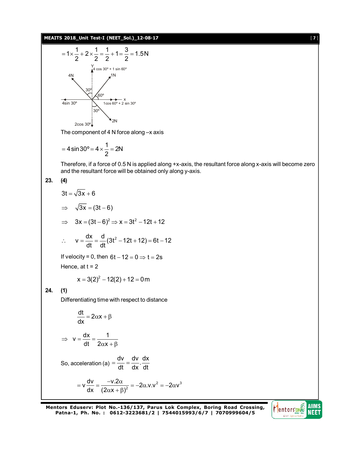#### **MEAITS 2018\_Unit Test-I (NEET\_Sol.)\_12-08-17** [ **7** ]



The component of 4 N force along –x axis

$$
=4\sin 30^{\circ} = 4 \times \frac{1}{2} = 2N
$$

Therefore, if a force of 0.5 N is applied along +x-axis, the resultant force along x-axis will become zero and the resultant force will be obtained only along y-axis.

$$
23. (4)
$$

**24. (1)**

$$
3t = \sqrt{3x} + 6
$$
  
\n
$$
\Rightarrow \sqrt{3x} = (3t - 6)
$$
  
\n
$$
\Rightarrow 3x = (3t - 6)^2 \Rightarrow x = 3t^2 - 12t + 12
$$
  
\n
$$
\therefore v = \frac{dx}{dt} = \frac{d}{dt}(3t^2 - 12t + 12) = 6t - 12
$$
  
\nIf velocity = 0, then 6t - 12 = 0  $\Rightarrow t = 2s$   
\nHence, at t = 2  
\n
$$
x = 3(2)^2 - 12(2) + 12 = 0m
$$
  
\n(1)  
\nDifferentiating time with respect to distance  
\n
$$
\frac{dt}{dx} = 2\alpha x + \beta
$$
  
\n
$$
\Rightarrow v = \frac{dx}{dt} = \frac{1}{2\alpha x + \beta}
$$
  
\nSo, acceleration (a) =  $\frac{dv}{dt} = \frac{dv}{dx} \cdot \frac{dx}{dt}$   
\n
$$
= \frac{dv}{dx} = \frac{-v \cdot 2\alpha}{(2\alpha x + \beta)^2} = -2\alpha v \cdot 2^2 = -2\alpha v^3
$$

dx  $(2\alpha x + \beta)^2$  $(\alpha x + \beta)^2$ 

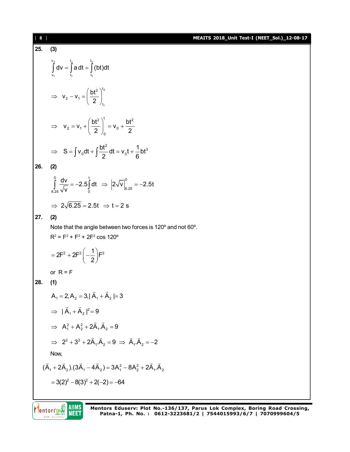## [ **8** ] **MEAITS 2018\_Unit Test-I (NEET\_Sol.)\_12-08-17 25. (3)**  $v_2$   $t_2$   $t_2$ 1 1 1  $\int\limits_{\mathsf{v}_{\mathsf{1}}} \mathsf{d} \mathsf{v} = \int\limits_{\mathsf{t}_{\mathsf{1}}} \mathsf{a} \, \mathsf{d} \mathsf{t} = \int\limits_{\mathsf{t}_{\mathsf{1}}} (\mathsf{b} \mathsf{t}) \mathsf{d} \mathsf{t}$  $2 \lambda^{t_2}$ 1 2 1 t  $v_2 - v_1 = \frac{bt}{a}$ 2  $\Rightarrow$   $V_2 - V_1 = \left(\frac{bt^2}{2}\right)_{t_1}^{t_2}$ 2  $h^{t}$   $h^{t}$  $2 - \cdot 1$   $\cdot \cdot \cdot$   $\cdot \cdot$   $\cdot \cdot$  0 0  $v_2 = v_1 + \left(\frac{bt^2}{2}\right)^3 = v_0 + \frac{bt^2}{2}$ 2  $\frac{1}{2}$  2  $\Rightarrow$   $V_2 = V_1 + \left(\frac{bt^2}{2}\right)_0^1 = V_0 + \frac{1}{2}$  $S = \int v_0 dt + \int \frac{bt^2}{2} dt = v_0 t + \frac{1}{6}bt^3$  $\Rightarrow$  S =  $\int v_0 dt + \int \frac{dt}{2} dt = v_0 t + \frac{1}{6}$ **26. (2)**  $\int_{0}^{0}$  dv  $\int_{0}^{t}$  1  $\int_{0}^{0}$  $6.25$   $\sqrt{V}$   $0$  1 16.25  $\frac{dv}{dt}$  = -2.5 dt  $\Rightarrow$   $\left|2\sqrt{v}\right|^{\circ}$  = -2.5t  $\int_{25} \frac{dv}{\sqrt{v}} = -2.5 \int_{0} dt \Rightarrow |2\sqrt{v}|_{6.25} = -2$  $\Rightarrow$  2 $\sqrt{6.25}$  = 2.5t  $\Rightarrow$  t = 2 s **27. (2)** Note that the angle between two forces is 120º and not 60º.  $R^2 = F^2 + F^2 + 2F^2 \cos 120^\circ$  $2F^2 + 2F^2 \left(-\frac{1}{2}\right)F^2$ 2  $=2F^{2}+2F^{2}\left(-\frac{1}{2}\right)F$ or  $R = F$ **28. (1)**  $A_1 = 2, A_2 = 3, |A_1 + A_2| = 3$  $\rightarrow$  $\Rightarrow$   $|\vec{A}_1 + \vec{A}_2|^2 = 9$  $\rightarrow$   $\rightarrow$  $\implies$  A<sub>1</sub><sup>2</sup> + A<sub>2</sub><sup>2</sup> + 2A<sub>1</sub>.A<sub>2</sub> = 9  $\rightarrow$  $\Rightarrow$  2<sup>2</sup> + 3<sup>2</sup> + 2 $\vec{A}_1 \cdot \vec{A}_2 = 9 \Rightarrow \vec{A}_1 \cdot \vec{A}_2 = -2$  $\rightarrow$   $\rightarrow$   $\rightarrow$   $\rightarrow$   $\rightarrow$ Now,  $(A_1 + 2A_2)$ .(3 $A_1 - 4A_2$ ) = 3 $A_1^2 - 8A_2^2 + 2A_1A_2$   $= 3(2)^2 - 8(3)^2 + 2(-2) = -64$

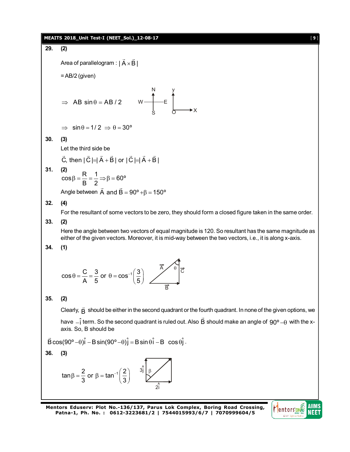# **MEAITS 2018\_Unit Test-I (NEET\_Sol.)\_12-08-17** [ **9** ] **29. (2)** Area of parallelogram  $:\mid {\sf A}\! \times \! {\sf B}\! \mid$  $\rightarrow$   $\rightarrow$ .  $=$  AB/2 (given)  $\implies$  AB sin  $\theta$  = AB / 2 N S E y  $\uparrow$  x  $\Rightarrow$  sin  $\theta$  = 1/ 2  $\Rightarrow$   $\theta$  = 30° **30. (3)** Let the third side be C, then  $|C| = |A + B|$  or  $|C| = |A + B|$ .<br>→ → → → → → → → **31. (2)**<br> $\cos \beta = \frac{R}{R} = \frac{1}{R} \Rightarrow \beta = 60^{\circ}$ B 2  $\beta = \frac{1}{2} = \frac{1}{2} \Rightarrow \beta = 0$ Angle between A and B =  $90^{\circ}$  + $\beta$  = 150 $^{\circ}$  $\rightarrow$   $\rightarrow$ **32. (4)** For the resultant of some vectors to be zero, they should form a closed figure taken in the same order. **33. (2)** Here the angle between two vectors of equal magnitude is 120. So resultant has the same magnitude as either of the given vectors. Moreover, it is mid-way between the two vectors, i.e., it is along x-axis. **34. (1)**  $\cos \theta = \frac{C}{1} = \frac{3}{5}$  or  $\theta = \cos^{-1} \left( \frac{3}{5} \right)$  $\theta = \frac{C}{A} = \frac{3}{5}$  or  $\theta = \cos^{-1} \left(\frac{3}{5}\right)$ B **35. (2)** Clearly,  $\vec{B}$  should be either in the second quadrant or the fourth quadrant. In none of the given options, we have  $-\hat{\textsf{i}}$  term. So the second quadrant is ruled out. Also  $\vec{\textsf{B}}$  $\rightarrow$ should make an angle of  $90^{\sf o}\!\!-\!\!0\,$  with the xaxis. So, B should be  $\vec{\mathsf{B}} \cos (90^\circ - \theta) \hat{\mathsf{i}} - \mathsf{B} \sin (90^\circ - \theta) \hat{\mathsf{j}} = \mathsf{B} \sin \theta \hat{\mathsf{i}} - \mathsf{B} \cos \theta \hat{\mathsf{j}}$  . **36. (3)** tan  $\beta = \frac{2}{2}$  or  $\beta = \tan^{-1} \left( \frac{2}{2} \right)$  $β = \frac{2}{3}$  or  $β = tan^{-1}(\frac{2}{3})$  $3j \rceil \beta$  $\hat{\mathsf{2i}}$

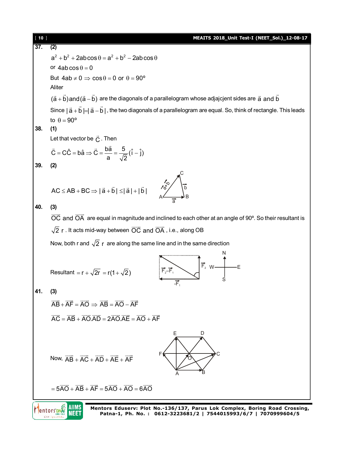| $[ 10 ]$          | MEAITS 2018_Unit Test-I (NEET_Sol.)_12-08-17                                                                                                                                                                                                                                                                                                        |
|-------------------|-----------------------------------------------------------------------------------------------------------------------------------------------------------------------------------------------------------------------------------------------------------------------------------------------------------------------------------------------------|
| $\overline{37}$ . | (2)                                                                                                                                                                                                                                                                                                                                                 |
|                   | $a^2 + b^2 + 2ab\cos\theta = a^2 + b^2 - 2ab\cos\theta$                                                                                                                                                                                                                                                                                             |
|                   | or $4ab\cos\theta = 0$                                                                                                                                                                                                                                                                                                                              |
|                   | But $4ab \neq 0 \Rightarrow cos \theta = 0$ or $\theta = 90^{\circ}$                                                                                                                                                                                                                                                                                |
|                   | Aliter                                                                                                                                                                                                                                                                                                                                              |
|                   | $(\vec{a} + \vec{b})$ and $(\vec{a} - \vec{b})$ are the diagonals of a parallelogram whose adjajcjent sides are $\vec{a}$ and $\vec{b}$                                                                                                                                                                                                             |
|                   | Since $ \vec{a} + \vec{b}  =  \vec{a} - \vec{b} $ , the two diagonals of a parallelogram are equal. So, think of rectangle. This leads                                                                                                                                                                                                              |
|                   | to $\theta = 90^{\circ}$                                                                                                                                                                                                                                                                                                                            |
| 38.               | (1)                                                                                                                                                                                                                                                                                                                                                 |
|                   | Let that vector be $\vec{C}$ . Then                                                                                                                                                                                                                                                                                                                 |
|                   | $\vec{C} = \vec{CC} = \vec{ba} \Rightarrow \vec{C} = \frac{\vec{ba}}{a} = \frac{5}{\sqrt{2}}(\hat{i} - \hat{j})$                                                                                                                                                                                                                                    |
| 39.               | (2)                                                                                                                                                                                                                                                                                                                                                 |
|                   |                                                                                                                                                                                                                                                                                                                                                     |
|                   | AC $\le$ AB + BC $\Rightarrow$ $ \vec{a} + \vec{b}  \le  \vec{a}  +  \vec{b} $                                                                                                                                                                                                                                                                      |
|                   |                                                                                                                                                                                                                                                                                                                                                     |
| 40.               | (3)                                                                                                                                                                                                                                                                                                                                                 |
|                   | $\overline{OC}$ and $\overline{OA}$ are equal in magnitude and inclined to each other at an angle of 90 $\degree$ . So their resultant is                                                                                                                                                                                                           |
|                   | $\sqrt{2}$ r. It acts mid-way between $\overrightarrow{OC}$ and $\overrightarrow{OA}$ , i.e., along OB                                                                                                                                                                                                                                              |
|                   | Now, both r and $\sqrt{2}$ r are along the same line and in the same direction                                                                                                                                                                                                                                                                      |
|                   |                                                                                                                                                                                                                                                                                                                                                     |
|                   | $\begin{picture}(180,10) \put(0,0){\line(1,0){10}} \put(15,0){\line(1,0){10}} \put(15,0){\line(1,0){10}} \put(15,0){\line(1,0){10}} \put(15,0){\line(1,0){10}} \put(15,0){\line(1,0){10}} \put(15,0){\line(1,0){10}} \put(15,0){\line(1,0){10}} \put(15,0){\line(1,0){10}} \put(15,0){\line(1,0){10}} \put(15,0){\line(1,0){10}} \put(15,0){\line($ |
|                   | Resultant = $r + \sqrt{2r} = r(1 + \sqrt{2})$                                                                                                                                                                                                                                                                                                       |
| 41.               | (3)                                                                                                                                                                                                                                                                                                                                                 |
|                   | $\overrightarrow{AB} + \overrightarrow{AF} = \overrightarrow{AO} \Rightarrow \overrightarrow{AB} = \overrightarrow{AO} - \overrightarrow{AF}$                                                                                                                                                                                                       |
|                   |                                                                                                                                                                                                                                                                                                                                                     |
|                   | $\overrightarrow{AC} = \overrightarrow{AB} + \overrightarrow{AO} \cdot \overrightarrow{AD} = 2\overrightarrow{AO} \cdot \overrightarrow{AE} = \overrightarrow{AO} + \overrightarrow{AF}$                                                                                                                                                            |
|                   | Е<br>D                                                                                                                                                                                                                                                                                                                                              |
|                   |                                                                                                                                                                                                                                                                                                                                                     |
|                   | Now, $\overrightarrow{AB} + \overrightarrow{AC} + \overrightarrow{AD} + \overrightarrow{AE} + \overrightarrow{AF}$                                                                                                                                                                                                                                  |
|                   |                                                                                                                                                                                                                                                                                                                                                     |
|                   |                                                                                                                                                                                                                                                                                                                                                     |
|                   | $=5\overrightarrow{AO} + \overrightarrow{AB} + \overrightarrow{AF} = 5\overrightarrow{AO} + \overrightarrow{AO} = 6\overrightarrow{AO}$                                                                                                                                                                                                             |
|                   |                                                                                                                                                                                                                                                                                                                                                     |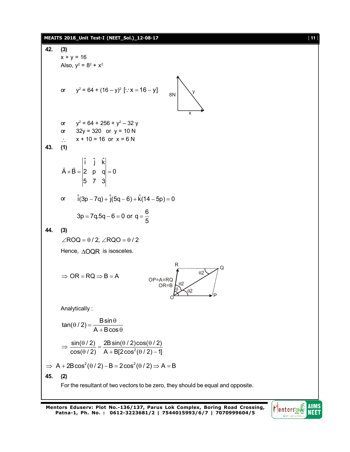#### **MEAITS 2018\_Unit Test-I (NEET\_Sol.)\_12-08-17** [ **11** ]

42. (3)  
\n
$$
x + y = 16
$$
  
\nAlso,  $y^2 = 8^2 + x^2$   
\nor  $y^2 = 64 + (16 - y)^2$  [∴  $x = 16 - y$ ]  
\n $y^2 = 64 + (16 - y)^2$  [∴  $x = 16 - y$ ]  
\n $32y = 320$  or  $y = 10$  N  
\n∴  $x + 10 = 16$  or  $x = 6$  N  
\n43. (1)  
\n $\vec{A} \times \vec{B} = \begin{vmatrix} \hat{i} & \hat{j} & \hat{k} \\ 2 & p & q \\ 5 & 7 & 3 \end{vmatrix} = 0$   
\nor  $\hat{i}(3p - 7q) + \hat{j}(5q - 6) + \hat{k}(14 - 5p) = 0$   
\n $3p = 7q.5q - 6 = 0$  or  $q = \frac{6}{5}$   
\n44. (3)  
\n $\angle ROO = \theta/2$ ,  $\angle ROO = \theta/2$   
\nHence,  $\triangle OQR$  is isosceles.  
\n $\Rightarrow OR = RQ \Rightarrow B = A$   
\n $\Rightarrow OR = RQ \Rightarrow B = A$   
\n $OP = A = RQ$   
\n $\Rightarrow OR = RQ \Rightarrow B = A$   
\n $\Rightarrow \frac{\sin(0/2)}{0.8 + 8} = \frac{1}{2}$   
\n $\Rightarrow \frac{\sin(0/2)}{\cos(0/2)} = \frac{28 \sin(0/2) \cos(0/2)}{A + B(2 \cos^2(0/2) - 1)}$   
\n $\Rightarrow A + 2B \cos^2(\theta/2) - B = 2 \cos^2(\theta/2) \Rightarrow A = B$   
\n45. (2)  
\nFor the resultant of two vectors to be zero, they should be equal and opposite.

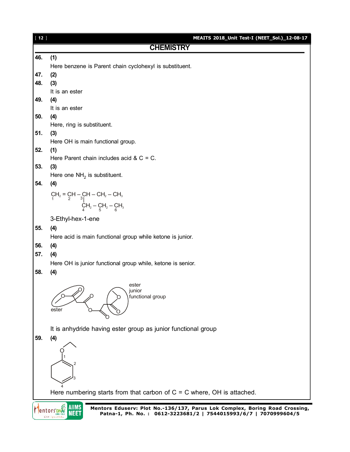| $[12]$ | <b>MEAITS 2018_Unit Test-I (NEET_Sol.)_12-08-17</b>                                                                                                  |
|--------|------------------------------------------------------------------------------------------------------------------------------------------------------|
|        | <b>CHEMISTRY</b>                                                                                                                                     |
| 46.    | (1)                                                                                                                                                  |
|        | Here benzene is Parent chain cyclohexyl is substituent.                                                                                              |
| 47.    | (2)                                                                                                                                                  |
| 48.    | (3)                                                                                                                                                  |
|        | It is an ester                                                                                                                                       |
| 49.    | (4)                                                                                                                                                  |
|        | It is an ester                                                                                                                                       |
| 50.    | (4)                                                                                                                                                  |
|        | Here, ring is substituent.                                                                                                                           |
| 51.    | (3)                                                                                                                                                  |
|        | Here OH is main functional group.                                                                                                                    |
| 52.    | (1)                                                                                                                                                  |
|        | Here Parent chain includes acid & $C = C$ .                                                                                                          |
| 53.    | (3)                                                                                                                                                  |
|        | Here one $NH2$ is substituent.                                                                                                                       |
| 54.    | (4)                                                                                                                                                  |
|        |                                                                                                                                                      |
|        | CH <sub>2</sub> = CH - CH - CH <sub>2</sub> - CH <sub>3</sub><br><sup>1</sup><br>CH <sub>2</sub> - CH <sub>2</sub> - CH <sub>3</sub><br><sub>4</sub> |
|        | 3-Ethyl-hex-1-ene                                                                                                                                    |
| 55.    | (4)                                                                                                                                                  |
|        | Here acid is main functional group while ketone is junior.                                                                                           |
| 56.    | (4)                                                                                                                                                  |
| 57.    | (4)                                                                                                                                                  |
|        | Here OH is junior functional group while, ketone is senior.                                                                                          |
| 58.    | (4)                                                                                                                                                  |
|        | ester<br>junior<br>functional group<br>ester                                                                                                         |
|        | It is anhydride having ester group as junior functional group                                                                                        |
| 59.    | (4)                                                                                                                                                  |
|        |                                                                                                                                                      |
|        |                                                                                                                                                      |
|        |                                                                                                                                                      |
|        |                                                                                                                                                      |
|        |                                                                                                                                                      |
|        |                                                                                                                                                      |
|        | Here numbering starts from that carbon of $C = C$ where, OH is attached.                                                                             |
|        | IIIMS                                                                                                                                                |
|        | Mentors Eduserv: Plot No.-136/137, Parus Lok Complex, Boring Road Crossing,<br>Patna-1, Ph. No.: 0612-3223681/2   7544015993/6/7   7070999604/5      |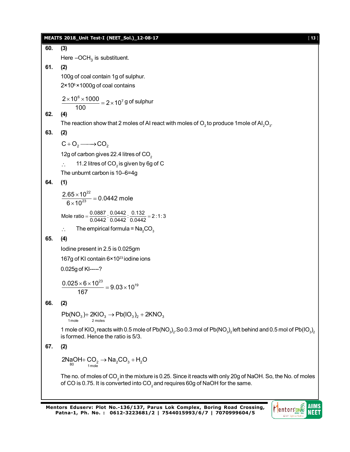|     | <b>MEAITS 2018_Unit Test-I (NEET_Sol.)_12-08-17</b><br>$[13]$                                                                                                                                                                             |
|-----|-------------------------------------------------------------------------------------------------------------------------------------------------------------------------------------------------------------------------------------------|
| 60. | (3)                                                                                                                                                                                                                                       |
|     | Here $-OCH3$ is substituent.                                                                                                                                                                                                              |
| 61. | (2)                                                                                                                                                                                                                                       |
|     | 100g of coal contain 1g of sulphur.                                                                                                                                                                                                       |
|     | $2 \times 10^6 \times 1000$ g of coal contains                                                                                                                                                                                            |
|     | $\frac{2\times10^6\times1000}{2\times10^7} = 2\times10^7\,\text{g}$ of sulphur                                                                                                                                                            |
|     | 100                                                                                                                                                                                                                                       |
| 62. | (4)                                                                                                                                                                                                                                       |
|     | The reaction show that 2 moles of AI react with moles of $O_2$ to produce 1 mole of AI <sub>2</sub> O <sub>3</sub> .                                                                                                                      |
| 63. | (2)                                                                                                                                                                                                                                       |
|     | $C + O_2 \longrightarrow CO_2$                                                                                                                                                                                                            |
|     | 12g of carbon gives 22.4 litres of CO <sub>2</sub>                                                                                                                                                                                        |
|     | 11.2 litres of CO <sub>2</sub> is given by 6g of C                                                                                                                                                                                        |
|     | The unburnt carbon is 10-6=4g                                                                                                                                                                                                             |
| 64. | (1)                                                                                                                                                                                                                                       |
|     | $\frac{2.65 \times 10^{22}}{6 \times 10^{23}} = 0.0442$ mole                                                                                                                                                                              |
|     | Mole ratio = $\frac{0.0887}{0.0442} \cdot \frac{0.0442}{0.0442} \cdot \frac{0.132}{0.0442} = 2:1:3$                                                                                                                                       |
|     | The empirical formula = $Na2CO3$<br>$\ddot{\cdot}$ .                                                                                                                                                                                      |
| 65. | (4)                                                                                                                                                                                                                                       |
|     | lodine present in 2.5 is 0.025gm                                                                                                                                                                                                          |
|     | 167g of KI contain 6×10 <sup>23</sup> iodine ions                                                                                                                                                                                         |
|     | 0.025g of KI-----?                                                                                                                                                                                                                        |
|     | $\frac{0.025 \times 6 \times 10^{23}}{9.03 \times 10^{19}} = 9.03 \times 10^{19}$<br>167                                                                                                                                                  |
| 66. | (2)                                                                                                                                                                                                                                       |
|     | $Pb(NO3) + 2KIO3 \rightarrow Pb(IO3)2 + 2KNO3$<br>1 mole<br>2 moles                                                                                                                                                                       |
|     | 1 mole of KIO <sub>3</sub> reacts with 0.5 mole of Pb(NO <sub>3</sub> ) <sub>2</sub> . So 0.3 mol of Pb(NO <sub>3</sub> ) <sub>2</sub> left behind and 0.5 mol of Pb(IO <sub>3</sub> ) <sub>2</sub><br>is formed. Hence the ratio is 5/3. |
| 67. | (2)                                                                                                                                                                                                                                       |
|     | $2N_{\alpha}OH + CO_2 \rightarrow Na_2CO_3 + H_2O$<br>1 mole                                                                                                                                                                              |
|     | The no. of moles of CO <sub>2</sub> in the mixture is 0.25. Since it reacts with only 20g of NaOH. So, the No. of moles<br>of CO is 0.75. It is converted into $CO2$ and requires 60g of NaOH for the same.                               |

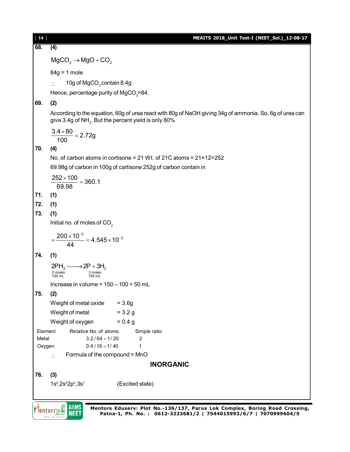| $[14]$                                                                        | MEAITS 2018_Unit Test-I (NEET_Sol.)_12-08-17                                                                                                                                |  |  |
|-------------------------------------------------------------------------------|-----------------------------------------------------------------------------------------------------------------------------------------------------------------------------|--|--|
| 68.                                                                           | (4)                                                                                                                                                                         |  |  |
|                                                                               | $MgCO3 \rightarrow MgO + CO2$                                                                                                                                               |  |  |
|                                                                               | $84g = 1$ mole                                                                                                                                                              |  |  |
|                                                                               | 10g of MgCO <sub>3</sub> contain 8.4g                                                                                                                                       |  |  |
|                                                                               | Hence, percentage purity of MgCO <sub>3</sub> =84.                                                                                                                          |  |  |
| 69.                                                                           | (2)                                                                                                                                                                         |  |  |
|                                                                               | According to the equation, 60g of urea react with 80g of NaOH giving 34g of ammonia. So, 6g of urea can<br>give 3.4g of NH <sub>3</sub> . But the percent yield is only 80% |  |  |
|                                                                               | $\frac{3.4 \times 80}{100} = 2.72g$                                                                                                                                         |  |  |
| 70.                                                                           | (4)                                                                                                                                                                         |  |  |
| No. of carbon atoms in cortisone = 21 Wt. of 21C atoms = $21 \times 12 = 252$ |                                                                                                                                                                             |  |  |
|                                                                               | 69.98g of carbon in 100g of cartisone 252g of carbon contain in                                                                                                             |  |  |
|                                                                               | $\frac{252 \times 100}{250} = 360.1$<br>69.98                                                                                                                               |  |  |
| 71.                                                                           | (1)                                                                                                                                                                         |  |  |
| 72.                                                                           | (1)                                                                                                                                                                         |  |  |
| 73.                                                                           | (1)                                                                                                                                                                         |  |  |
|                                                                               | Initial no. of moles of CO <sub>2</sub>                                                                                                                                     |  |  |
|                                                                               | $=\frac{200\times10^{-3}}{44}=4.545\times10^{-3}$                                                                                                                           |  |  |
| 74.                                                                           | (1)                                                                                                                                                                         |  |  |
|                                                                               | $2PH_3 \longrightarrow 2P + 3H_2$                                                                                                                                           |  |  |
|                                                                               | 2 moles<br>100 mL<br>3 moles<br>150 mL                                                                                                                                      |  |  |
|                                                                               | Increase in volume = $150 - 100 = 50$ mL                                                                                                                                    |  |  |
| 75.                                                                           | (2)                                                                                                                                                                         |  |  |
|                                                                               | Weight of metal oxide<br>$= 3.6g$                                                                                                                                           |  |  |
|                                                                               | Weight of metal<br>$= 3.2 g$                                                                                                                                                |  |  |
|                                                                               | Weight of oxygen<br>$= 0.4 g$                                                                                                                                               |  |  |
| Element<br>Metal                                                              | Relative No. of atoms<br>Simple ratio<br>$3.2/64 = 1/20$<br>2                                                                                                               |  |  |
| Oxygen                                                                        | $0.4 / 16 = 1 / 40$<br>1                                                                                                                                                    |  |  |
|                                                                               | Formula of the compound = MnO<br>$\ddot{\cdot}$ .                                                                                                                           |  |  |
|                                                                               | <b>INORGANIC</b>                                                                                                                                                            |  |  |
| 76.                                                                           | (3)                                                                                                                                                                         |  |  |
|                                                                               | $1s^2, 2s^22p^2, 3s^1$<br>(Excited state)                                                                                                                                   |  |  |
|                                                                               | $\geq$ all $\sim$                                                                                                                                                           |  |  |

**Mentors DNS** AllMS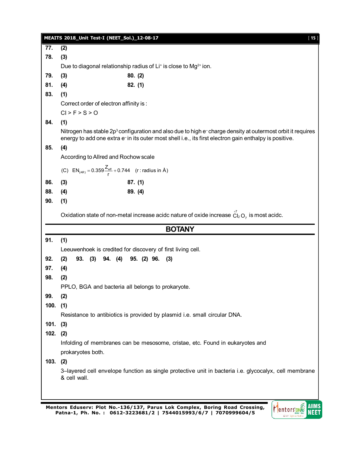|            | MEAITS 2018_Unit Test-I (NEET_Sol.)_12-08-17                                                                                                                                                                                                 |                                                                                                         | $[15]$ |  |
|------------|----------------------------------------------------------------------------------------------------------------------------------------------------------------------------------------------------------------------------------------------|---------------------------------------------------------------------------------------------------------|--------|--|
| 77.        | (2)                                                                                                                                                                                                                                          |                                                                                                         |        |  |
| 78.        | (3)                                                                                                                                                                                                                                          |                                                                                                         |        |  |
|            |                                                                                                                                                                                                                                              | Due to diagonal relationship radius of Li <sup>+</sup> is close to Mg <sup>2+</sup> ion.                |        |  |
| 79.        | (3)                                                                                                                                                                                                                                          | 80. (2)                                                                                                 |        |  |
| 81.        | (4)                                                                                                                                                                                                                                          | 82. (1)                                                                                                 |        |  |
| 83.        | (1)                                                                                                                                                                                                                                          |                                                                                                         |        |  |
|            | Correct order of electron affinity is:                                                                                                                                                                                                       |                                                                                                         |        |  |
|            | CI > F > S > O                                                                                                                                                                                                                               |                                                                                                         |        |  |
| 84.        | (1)                                                                                                                                                                                                                                          |                                                                                                         |        |  |
|            | Nitrogen has stable 2p <sup>3</sup> configuration and also due to high e <sup>-</sup> charge density at outermost orbit it requires<br>energy to add one extra e-in its outer most shell i.e., its first electron gain enthalpy is positive. |                                                                                                         |        |  |
| 85.        | (4)                                                                                                                                                                                                                                          |                                                                                                         |        |  |
|            | According to Allred and Rochow scale                                                                                                                                                                                                         |                                                                                                         |        |  |
|            | (C) $EN_{(AR)} = 0.359 \frac{Z_{eff}}{r} + 0.744$ (r: radius in Å)                                                                                                                                                                           |                                                                                                         |        |  |
| 86.        | (3)                                                                                                                                                                                                                                          | 87. (1)                                                                                                 |        |  |
| 88.        | (4)                                                                                                                                                                                                                                          | 89. (4)                                                                                                 |        |  |
| 90.        | (1)                                                                                                                                                                                                                                          |                                                                                                         |        |  |
|            |                                                                                                                                                                                                                                              | Oxidation state of non-metal increase acidc nature of oxide increase $\tilde{C}_{12}O_7$ is most acidc. |        |  |
|            |                                                                                                                                                                                                                                              | <b>BOTANY</b>                                                                                           |        |  |
| 91.        | (1)                                                                                                                                                                                                                                          |                                                                                                         |        |  |
|            |                                                                                                                                                                                                                                              | Leeuwenhoek is credited for discovery of first living cell.                                             |        |  |
| 92.        | (2)<br>93. (3)<br>94. (4)                                                                                                                                                                                                                    | 95. (2) 96.<br>(3)                                                                                      |        |  |
| 97.        | (4)                                                                                                                                                                                                                                          |                                                                                                         |        |  |
| 98.        | (2)                                                                                                                                                                                                                                          |                                                                                                         |        |  |
|            |                                                                                                                                                                                                                                              | PPLO, BGA and bacteria all belongs to prokaryote.                                                       |        |  |
| 99.        | (2)                                                                                                                                                                                                                                          |                                                                                                         |        |  |
| $100.$ (1) |                                                                                                                                                                                                                                              |                                                                                                         |        |  |
|            |                                                                                                                                                                                                                                              | Resistance to antibiotics is provided by plasmid i.e. small circular DNA.                               |        |  |
| $101.$ (3) |                                                                                                                                                                                                                                              |                                                                                                         |        |  |
| 102.       | (2)                                                                                                                                                                                                                                          |                                                                                                         |        |  |
|            |                                                                                                                                                                                                                                              |                                                                                                         |        |  |
|            |                                                                                                                                                                                                                                              | Infolding of membranes can be mesosome, cristae, etc. Found in eukaryotes and                           |        |  |
|            | prokaryotes both.                                                                                                                                                                                                                            |                                                                                                         |        |  |
| 103. (2)   |                                                                                                                                                                                                                                              |                                                                                                         |        |  |
|            | & cell wall.                                                                                                                                                                                                                                 | 3-layered cell envelope function as single protective unit in bacteria i.e. glycocalyx, cell membrane   |        |  |
|            |                                                                                                                                                                                                                                              |                                                                                                         |        |  |

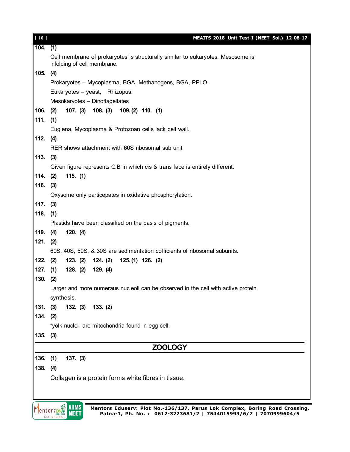| [16]         | MEAITS 2018_Unit Test-I (NEET_Sol.)_12-08-17                                                                   |  |  |  |
|--------------|----------------------------------------------------------------------------------------------------------------|--|--|--|
| 104.         | (1)                                                                                                            |  |  |  |
|              | Cell membrane of prokaryotes is structurally similar to eukaryotes. Mesosome is<br>infolding of cell membrane. |  |  |  |
| 105.         | (4)                                                                                                            |  |  |  |
|              | Prokaryotes - Mycoplasma, BGA, Methanogens, BGA, PPLO.                                                         |  |  |  |
|              | Eukaryotes - yeast, Rhizopus.                                                                                  |  |  |  |
|              | Mesokaryotes - Dinoflagellates                                                                                 |  |  |  |
| 106.         | 107. (3) 108. (3) 109. (2) 110. (1)<br>(2)                                                                     |  |  |  |
| 111.         | (1)                                                                                                            |  |  |  |
|              | Euglena, Mycoplasma & Protozoan cells lack cell wall.                                                          |  |  |  |
| 112.         | (4)                                                                                                            |  |  |  |
|              | RER shows attachment with 60S ribosomal sub unit                                                               |  |  |  |
| 113.         | (3)                                                                                                            |  |  |  |
|              | Given figure represents G.B in which cis & trans face is entirely different.                                   |  |  |  |
| 114.         | 115. (1)<br>(2)                                                                                                |  |  |  |
| 116.         | (3)                                                                                                            |  |  |  |
|              | Oxysome only particepates in oxidative phosphorylation.                                                        |  |  |  |
| 117.         | (3)                                                                                                            |  |  |  |
| 118.         | (1)                                                                                                            |  |  |  |
|              | Plastids have been classified on the basis of pigments.                                                        |  |  |  |
| 119.         | (4)<br>120. (4)                                                                                                |  |  |  |
| 121. (2)     |                                                                                                                |  |  |  |
|              | 60S, 40S, 50S, & 30S are sedimentation cofficients of ribosomal subunits.                                      |  |  |  |
| 122.         | (2)<br>123. (2)<br>124. (2)<br>$125.(1)$ 126. (2)                                                              |  |  |  |
| $127.$ (1)   | 128. (2)<br>129. (4)                                                                                           |  |  |  |
| 130.         | (2)                                                                                                            |  |  |  |
|              | Larger and more numeraus nucleoli can be observed in the cell with active protein                              |  |  |  |
|              | synthesis.                                                                                                     |  |  |  |
| 131.         | (3)<br>132. (3) 133. (2)                                                                                       |  |  |  |
| 134. (2)     |                                                                                                                |  |  |  |
|              | "yolk nuclei" are mitochondria found in egg cell.                                                              |  |  |  |
| $135.$ $(3)$ |                                                                                                                |  |  |  |
|              | <b>ZOOLOGY</b>                                                                                                 |  |  |  |
| $136.$ (1)   | 137. (3)                                                                                                       |  |  |  |
| 138.         | (4)                                                                                                            |  |  |  |
|              | Collagen is a protein forms white fibres in tissue.                                                            |  |  |  |
|              |                                                                                                                |  |  |  |
|              |                                                                                                                |  |  |  |